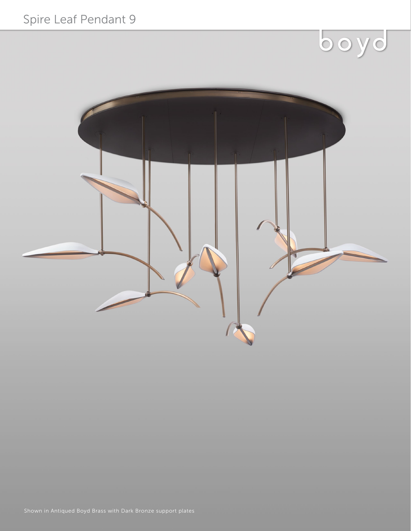